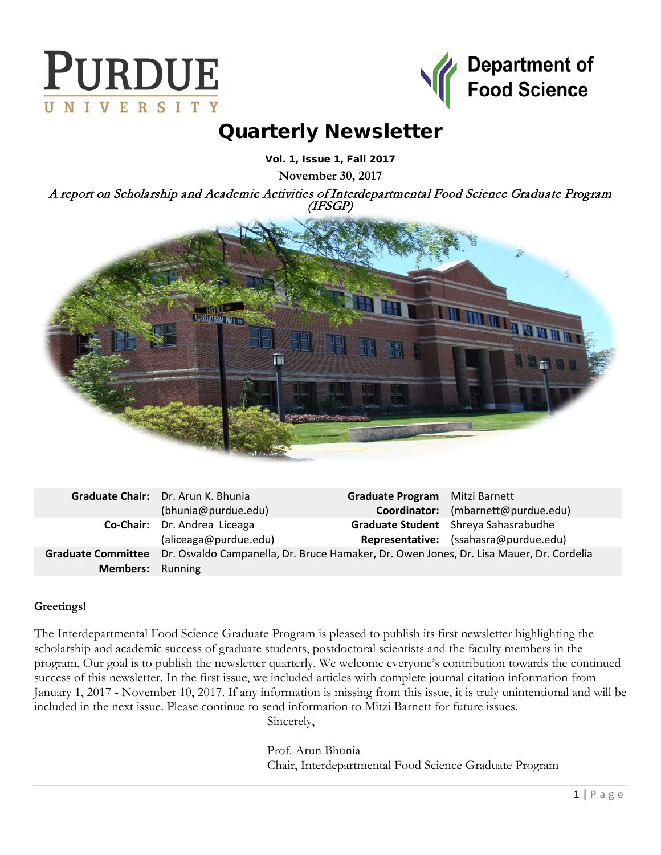



# Quarterly Newsletter

Vol. 1, Issue 1, Fall 2017

**November 30, 2017**

A report on Scholarship and Academic Activities of Interdepartmental Food Science Graduate Program (IFSGP)



|                         | Graduate Chair: Dr. Arun K. Bhunia                                                                         | Graduate Program Mitzi Barnett |                                       |
|-------------------------|------------------------------------------------------------------------------------------------------------|--------------------------------|---------------------------------------|
|                         | (bhunia@purdue.edu)                                                                                        |                                | Coordinator: (mbarnett@purdue.edu)    |
|                         | Co-Chair: Dr. Andrea Liceaga                                                                               |                                | Graduate Student Shreya Sahasrabudhe  |
|                         | (aliceaga@purdue.edu)                                                                                      |                                | Representative: (ssahasra@purdue.edu) |
|                         | Graduate Committee Dr. Osvaldo Campanella, Dr. Bruce Hamaker, Dr. Owen Jones, Dr. Lisa Mauer, Dr. Cordelia |                                |                                       |
| <b>Members:</b> Running |                                                                                                            |                                |                                       |

# **Greetings!**

The Interdepartmental Food Science Graduate Program is pleased to publish its first newsletter highlighting the scholarship and academic success of graduate students, postdoctoral scientists and the faculty members in the program. Our goal is to publish the newsletter quarterly. We welcome everyone's contribution towards the continued success of this newsletter. In the first issue, we included articles with complete journal citation information from January 1, 2017 - November 10, 2017. If any information is missing from this issue, it is truly unintentional and will be included in the next issue. Please continue to send information to Mitzi Barnett for future issues.

Sincerely,

Prof. Arun Bhunia Chair, Interdepartmental Food Science Graduate Program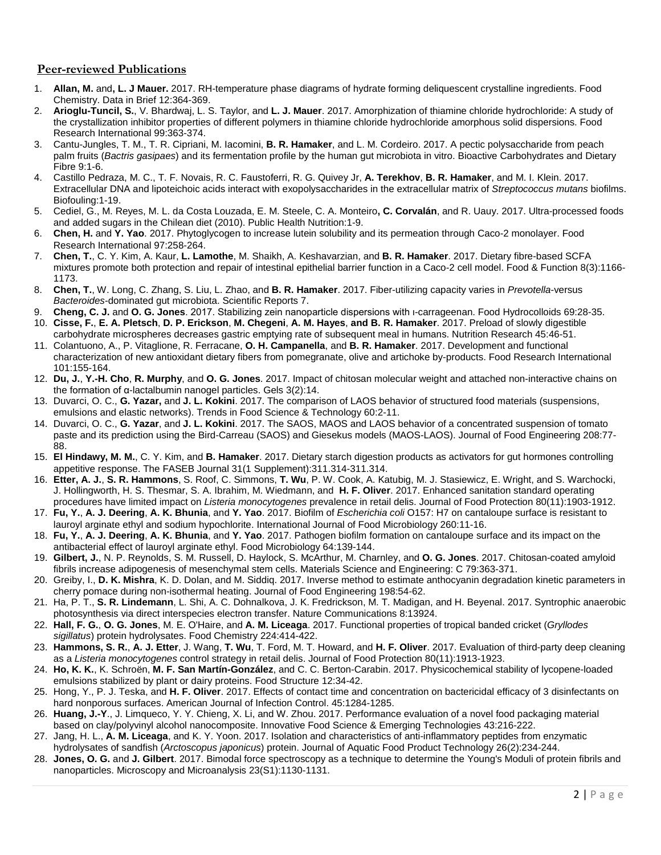## **Peer-reviewed Publications**

- 1. **Allan, M.** and**, L. J Mauer.** 2017. RH-temperature phase diagrams of hydrate forming deliquescent crystalline ingredients. Food Chemistry. Data in Brief 12:364-369.
- 2. **Arioglu-Tuncil, S.**, V. Bhardwaj, L. S. Taylor, and **L. J. Mauer**. 2017. Amorphization of thiamine chloride hydrochloride: A study of the crystallization inhibitor properties of different polymers in thiamine chloride hydrochloride amorphous solid dispersions. Food Research International 99:363-374.
- 3. Cantu-Jungles, T. M., T. R. Cipriani, M. Iacomini, **B. R. Hamaker**, and L. M. Cordeiro. 2017. A pectic polysaccharide from peach palm fruits (*Bactris gasipaes*) and its fermentation profile by the human gut microbiota in vitro. Bioactive Carbohydrates and Dietary Fibre 9:1-6.
- 4. Castillo Pedraza, M. C., T. F. Novais, R. C. Faustoferri, R. G. Quivey Jr, **A. Terekhov**, **B. R. Hamaker**, and M. I. Klein. 2017. Extracellular DNA and lipoteichoic acids interact with exopolysaccharides in the extracellular matrix of *Streptococcus mutans* biofilms. Biofouling:1-19.
- 5. Cediel, G., M. Reyes, M. L. da Costa Louzada, E. M. Steele, C. A. Monteiro**, C. Corvalán**, and R. Uauy. 2017. Ultra-processed foods and added sugars in the Chilean diet (2010). Public Health Nutrition:1-9.
- 6. **Chen, H.** and **Y. Yao**. 2017. Phytoglycogen to increase lutein solubility and its permeation through Caco-2 monolayer. Food Research International 97:258-264.
- 7. **Chen, T.**, C. Y. Kim, A. Kaur, **L. Lamothe**, M. Shaikh, A. Keshavarzian, and **B. R. Hamaker**. 2017. Dietary fibre-based SCFA mixtures promote both protection and repair of intestinal epithelial barrier function in a Caco-2 cell model. Food & Function 8(3):1166- 1173.
- 8. **Chen, T.**, W. Long, C. Zhang, S. Liu, L. Zhao, and **B. R. Hamaker**. 2017. Fiber-utilizing capacity varies in *Prevotella*-versus *Bacteroides*-dominated gut microbiota. Scientific Reports 7.
- 9. **Cheng, C. J.** and **O. G. Jones**. 2017. Stabilizing zein nanoparticle dispersions with ι-carrageenan. Food Hydrocolloids 69:28-35.
- 10. **Cisse, F.**, **E. A. Pletsch**, **D. P. Erickson**, **M. Chegeni**, **A. M. Hayes**, **and B. R. Hamaker**. 2017. Preload of slowly digestible carbohydrate microspheres decreases gastric emptying rate of subsequent meal in humans. Nutrition Research 45:46-51.
- 11. Colantuono, A., P. Vitaglione, R. Ferracane, **O. H. Campanella**, and **B. R. Hamaker**. 2017. Development and functional characterization of new antioxidant dietary fibers from pomegranate, olive and artichoke by-products. Food Research International 101:155-164.
- 12. **Du, J.**, **Y.-H. Cho**, **R. Murphy**, and **O. G. Jones**. 2017. Impact of chitosan molecular weight and attached non-interactive chains on the formation of α-lactalbumin nanogel particles. Gels 3(2):14.
- 13. Duvarci, O. C., **G. Yazar,** and **J. L. Kokini**. 2017. The comparison of LAOS behavior of structured food materials (suspensions, emulsions and elastic networks). Trends in Food Science & Technology 60:2-11.
- 14. Duvarci, O. C., **G. Yazar**, and **J. L. Kokini**. 2017. The SAOS, MAOS and LAOS behavior of a concentrated suspension of tomato paste and its prediction using the Bird-Carreau (SAOS) and Giesekus models (MAOS-LAOS). Journal of Food Engineering 208:77- 88.
- 15. **El Hindawy, M. M.**, C. Y. Kim, and **B. Hamaker**. 2017. Dietary starch digestion products as activators for gut hormones controlling appetitive response. The FASEB Journal 31(1 Supplement):311.314-311.314.
- 16. **Etter, A. J.**, **S. R. Hammons**, S. Roof, C. Simmons, **T. Wu**, P. W. Cook, A. Katubig, M. J. Stasiewicz, E. Wright, and S. Warchocki, J. Hollingworth, H. S. Thesmar, S. A. Ibrahim, M. Wiedmann, and **H. F. Oliver**. 2017. Enhanced sanitation standard operating procedures have limited impact on *Listeria monocytogenes* prevalence in retail delis. Journal of Food Protection 80(11):1903-1912.
- 17. **Fu, Y.**, **A. J. Deering**, **A. K. Bhunia**, and **Y. Yao**. 2017. Biofilm of *Escherichia coli* O157: H7 on cantaloupe surface is resistant to lauroyl arginate ethyl and sodium hypochlorite. International Journal of Food Microbiology 260:11-16.
- 18. **Fu, Y.**, **A. J. Deering**, **A. K. Bhunia**, and **Y. Yao**. 2017. Pathogen biofilm formation on cantaloupe surface and its impact on the antibacterial effect of lauroyl arginate ethyl. Food Microbiology 64:139-144.
- 19. **Gilbert, J.**, N. P. Reynolds, S. M. Russell, D. Haylock, S. McArthur, M. Charnley, and **O. G. Jones**. 2017. Chitosan-coated amyloid fibrils increase adipogenesis of mesenchymal stem cells. Materials Science and Engineering: C 79:363-371.
- 20. Greiby, I., **D. K. Mishra**, K. D. Dolan, and M. Siddiq. 2017. Inverse method to estimate anthocyanin degradation kinetic parameters in cherry pomace during non-isothermal heating. Journal of Food Engineering 198:54-62.
- 21. Ha, P. T., **S. R. Lindemann**, L. Shi, A. C. Dohnalkova, J. K. Fredrickson, M. T. Madigan, and H. Beyenal. 2017. Syntrophic anaerobic photosynthesis via direct interspecies electron transfer. Nature Communications 8:13924.
- 22. **Hall, F. G.**, **O. G. Jones**, M. E. O'Haire, and **A. M. Liceaga**. 2017. Functional properties of tropical banded cricket (*Gryllodes sigillatus*) protein hydrolysates. Food Chemistry 224:414-422.
- 23. **Hammons, S. R.**, **A. J. Etter**, J. Wang, **T. Wu**, T. Ford, M. T. Howard, and **H. F. Oliver**. 2017. Evaluation of third-party deep cleaning as a *Listeria monocytogenes* control strategy in retail delis. Journal of Food Protection 80(11):1913-1923.
- 24. **Ho, K. K.**, K. Schroën, **M. F. San Martín-González**, and C. C. Berton-Carabin. 2017. Physicochemical stability of lycopene-loaded emulsions stabilized by plant or dairy proteins. Food Structure 12:34-42.
- 25. Hong, Y., P. J. Teska, and **H. F. Oliver**. 2017. Effects of contact time and concentration on bactericidal efficacy of 3 disinfectants on hard nonporous surfaces. American Journal of Infection Control. 45:1284-1285.
- 26. **Huang, J.-Y**., J. Limqueco, Y. Y. Chieng, X. Li, and W. Zhou. 2017. Performance evaluation of a novel food packaging material based on clay/polyvinyl alcohol nanocomposite. Innovative Food Science & Emerging Technologies 43:216-222.
- 27. Jang, H. L., **A. M. Liceaga**, and K. Y. Yoon. 2017. Isolation and characteristics of anti-inflammatory peptides from enzymatic hydrolysates of sandfish (*Arctoscopus japonicus*) protein. Journal of Aquatic Food Product Technology 26(2):234-244.
- 28. **Jones, O. G.** and **J. Gilbert**. 2017. Bimodal force spectroscopy as a technique to determine the Young's Moduli of protein fibrils and nanoparticles. Microscopy and Microanalysis 23(S1):1130-1131.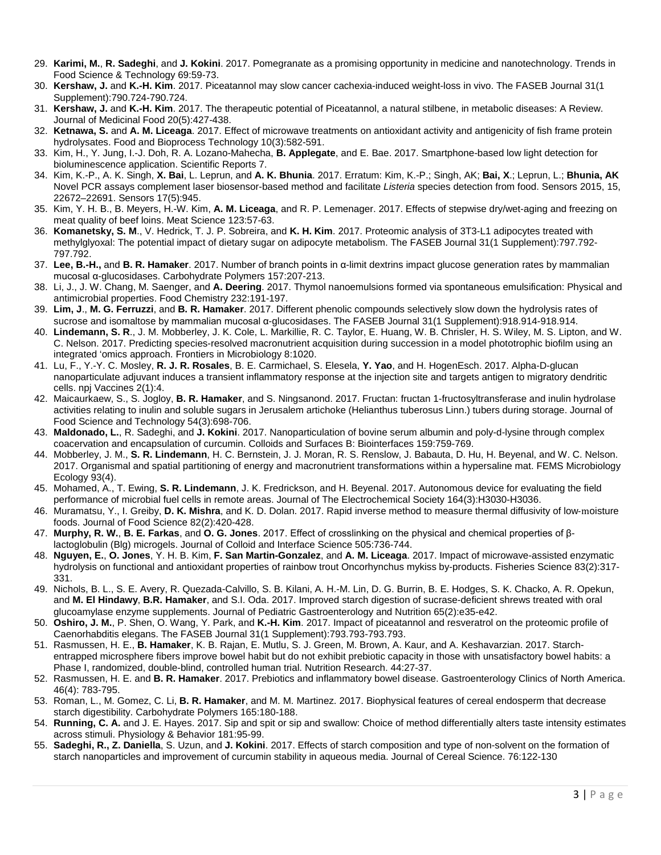- 29. **Karimi, M.**, **R. Sadeghi**, and **J. Kokini**. 2017. Pomegranate as a promising opportunity in medicine and nanotechnology. Trends in Food Science & Technology 69:59-73.
- 30. **Kershaw, J.** and **K.-H. Kim**. 2017. Piceatannol may slow cancer cachexia-induced weight-loss in vivo. The FASEB Journal 31(1 Supplement):790.724-790.724.
- 31. **Kershaw, J.** and **K.-H. Kim**. 2017. The therapeutic potential of Piceatannol, a natural stilbene, in metabolic diseases: A Review. Journal of Medicinal Food 20(5):427-438.
- 32. **Ketnawa, S.** and **A. M. Liceaga**. 2017. Effect of microwave treatments on antioxidant activity and antigenicity of fish frame protein hydrolysates. Food and Bioprocess Technology 10(3):582-591.
- 33. Kim, H., Y. Jung, I.-J. Doh, R. A. Lozano-Mahecha, **B. Applegate**, and E. Bae. 2017. Smartphone-based low light detection for bioluminescence application. Scientific Reports 7.
- 34. Kim, K.-P., A. K. Singh, **X. Bai**, L. Leprun, and **A. K. Bhunia**. 2017. Erratum: Kim, K.-P.; Singh, AK; **Bai, X**.; Leprun, L.; **Bhunia, AK** Novel PCR assays complement laser biosensor-based method and facilitate *Listeria* species detection from food. Sensors 2015, 15, 22672–22691. Sensors 17(5):945.
- 35. Kim, Y. H. B., B. Meyers, H.-W. Kim, **A. M. Liceaga**, and R. P. Lemenager. 2017. Effects of stepwise dry/wet-aging and freezing on meat quality of beef loins. Meat Science 123:57-63.
- 36. **Komanetsky, S. M**., V. Hedrick, T. J. P. Sobreira, and **K. H. Kim**. 2017. Proteomic analysis of 3T3-L1 adipocytes treated with methylglyoxal: The potential impact of dietary sugar on adipocyte metabolism. The FASEB Journal 31(1 Supplement):797.792- 797.792.
- 37. **Lee, B.-H.,** and **B. R. Hamaker**. 2017. Number of branch points in α-limit dextrins impact glucose generation rates by mammalian mucosal α-glucosidases. Carbohydrate Polymers 157:207-213.
- 38. Li, J., J. W. Chang, M. Saenger, and **A. Deering**. 2017. Thymol nanoemulsions formed via spontaneous emulsification: Physical and antimicrobial properties. Food Chemistry 232:191-197.
- 39. **Lim, J**., **M. G. Ferruzzi**, and **B. R. Hamaker**. 2017. Different phenolic compounds selectively slow down the hydrolysis rates of sucrose and isomaltose by mammalian mucosal α-glucosidases. The FASEB Journal 31(1 Supplement):918.914-918.914.
- 40. **Lindemann, S. R**., J. M. Mobberley, J. K. Cole, L. Markillie, R. C. Taylor, E. Huang, W. B. Chrisler, H. S. Wiley, M. S. Lipton, and W. C. Nelson. 2017. Predicting species-resolved macronutrient acquisition during succession in a model phototrophic biofilm using an integrated 'omics approach. Frontiers in Microbiology 8:1020.
- 41. Lu, F., Y.-Y. C. Mosley, **R. J. R. Rosales**, B. E. Carmichael, S. Elesela, **Y. Yao**, and H. HogenEsch. 2017. Alpha-D-glucan nanoparticulate adjuvant induces a transient inflammatory response at the injection site and targets antigen to migratory dendritic cells. npj Vaccines 2(1):4.
- 42. Maicaurkaew, S., S. Jogloy, **B. R. Hamaker**, and S. Ningsanond. 2017. Fructan: fructan 1-fructosyltransferase and inulin hydrolase activities relating to inulin and soluble sugars in Jerusalem artichoke (Helianthus tuberosus Linn.) tubers during storage. Journal of Food Science and Technology 54(3):698-706.
- 43. **Maldonado, L.**, R. Sadeghi, and **J. Kokini**. 2017. Nanoparticulation of bovine serum albumin and poly-d-lysine through complex coacervation and encapsulation of curcumin. Colloids and Surfaces B: Biointerfaces 159:759-769.
- 44. Mobberley, J. M., **S. R. Lindemann**, H. C. Bernstein, J. J. Moran, R. S. Renslow, J. Babauta, D. Hu, H. Beyenal, and W. C. Nelson. 2017. Organismal and spatial partitioning of energy and macronutrient transformations within a hypersaline mat. FEMS Microbiology Ecology 93(4).
- 45. Mohamed, A., T. Ewing, **S. R. Lindemann**, J. K. Fredrickson, and H. Beyenal. 2017. Autonomous device for evaluating the field performance of microbial fuel cells in remote areas. Journal of The Electrochemical Society 164(3):H3030-H3036.
- 46. Muramatsu, Y., I. Greiby, **D. K. Mishra**, and K. D. Dolan. 2017. Rapid inverse method to measure thermal diffusivity of low‐moisture foods. Journal of Food Science 82(2):420-428.
- 47. **Murphy, R. W.**, **B. E. Farkas**, and **O. G. Jones**. 2017. Effect of crosslinking on the physical and chemical properties of βlactoglobulin (Blg) microgels. Journal of Colloid and Interface Science 505:736-744.
- 48. **Nguyen, E.**, **O. Jones**, Y. H. B. Kim, **F. San Martin-Gonzalez**, and **A. M. Liceaga**. 2017. Impact of microwave-assisted enzymatic hydrolysis on functional and antioxidant properties of rainbow trout Oncorhynchus mykiss by-products. Fisheries Science 83(2):317- 331.
- 49. Nichols, B. L., S. E. Avery, R. Quezada-Calvillo, S. B. Kilani, A. H.-M. Lin, D. G. Burrin, B. E. Hodges, S. K. Chacko, A. R. Opekun, and **M. El Hindawy**, **B.R. Hamaker**, and S.I. Oda. 2017. Improved starch digestion of sucrase-deficient shrews treated with oral glucoamylase enzyme supplements. Journal of Pediatric Gastroenterology and Nutrition 65(2):e35-e42.
- 50. **Oshiro, J. M.**, P. Shen, O. Wang, Y. Park, and **K.-H. Kim**. 2017. Impact of piceatannol and resveratrol on the proteomic profile of Caenorhabditis elegans. The FASEB Journal 31(1 Supplement):793.793-793.793.
- 51. Rasmussen, H. E., **B. Hamaker**, K. B. Rajan, E. Mutlu, S. J. Green, M. Brown, A. Kaur, and A. Keshavarzian. 2017. Starchentrapped microsphere fibers improve bowel habit but do not exhibit prebiotic capacity in those with unsatisfactory bowel habits: a Phase I, randomized, double-blind, controlled human trial. Nutrition Research. 44:27-37.
- 52. Rasmussen, H. E. and **B. R. Hamaker**. 2017. Prebiotics and inflammatory bowel disease. Gastroenterology Clinics of North America. 46(4): 783-795.
- 53. Roman, L., M. Gomez, C. Li, **B. R. Hamaker**, and M. M. Martinez. 2017. Biophysical features of cereal endosperm that decrease starch digestibility. Carbohydrate Polymers 165:180-188.
- 54. **Running, C. A.** and J. E. Hayes. 2017. Sip and spit or sip and swallow: Choice of method differentially alters taste intensity estimates across stimuli. Physiology & Behavior 181:95-99.
- 55. **Sadeghi, R., Z. Daniella**, S. Uzun, and **J. Kokini**. 2017. Effects of starch composition and type of non-solvent on the formation of starch nanoparticles and improvement of curcumin stability in aqueous media. Journal of Cereal Science. 76:122-130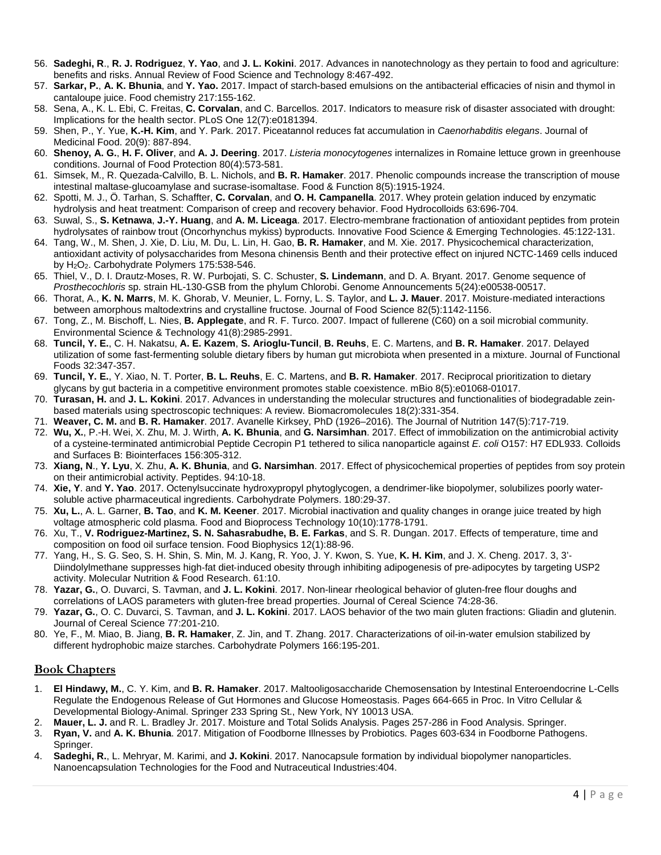- 56. **Sadeghi, R**., **R. J. Rodriguez**, **Y. Yao**, and **J. L. Kokini**. 2017. Advances in nanotechnology as they pertain to food and agriculture: benefits and risks. Annual Review of Food Science and Technology 8:467-492.
- 57. **Sarkar, P.**, **A. K. Bhunia**, and **Y. Yao.** 2017. Impact of starch-based emulsions on the antibacterial efficacies of nisin and thymol in cantaloupe juice. Food chemistry 217:155-162.
- 58. Sena, A., K. L. Ebi, C. Freitas, **C. Corvalan**, and C. Barcellos. 2017. Indicators to measure risk of disaster associated with drought: Implications for the health sector. PLoS One 12(7):e0181394.
- 59. Shen, P., Y. Yue, **K.-H. Kim**, and Y. Park. 2017. Piceatannol reduces fat accumulation in *Caenorhabditis elegans*. Journal of Medicinal Food. 20(9): 887-894.
- 60. **Shenoy, A. G.**, **H. F. Oliver**, and **A. J. Deering**. 2017. *Listeria monocytogenes* internalizes in Romaine lettuce grown in greenhouse conditions. Journal of Food Protection 80(4):573-581.
- 61. Simsek, M., R. Quezada-Calvillo, B. L. Nichols, and **B. R. Hamaker**. 2017. Phenolic compounds increase the transcription of mouse intestinal maltase-glucoamylase and sucrase-isomaltase. Food & Function 8(5):1915-1924.
- 62. Spotti, M. J., Ö. Tarhan, S. Schaffter, **C. Corvalan**, and **O. H. Campanella**. 2017. Whey protein gelation induced by enzymatic hydrolysis and heat treatment: Comparison of creep and recovery behavior. Food Hydrocolloids 63:696-704.
- 63. Suwal, S., **S. Ketnawa**, **J.-Y. Huang**, and **A. M. Liceaga**. 2017. Electro-membrane fractionation of antioxidant peptides from protein hydrolysates of rainbow trout (Oncorhynchus mykiss) byproducts. Innovative Food Science & Emerging Technologies. 45:122-131.
- 64. Tang, W., M. Shen, J. Xie, D. Liu, M. Du, L. Lin, H. Gao, **B. R. Hamaker**, and M. Xie. 2017. Physicochemical characterization, antioxidant activity of polysaccharides from Mesona chinensis Benth and their protective effect on injured NCTC-1469 cells induced by H2O2. Carbohydrate Polymers 175:538-546.
- 65. Thiel, V., D. I. Drautz-Moses, R. W. Purbojati, S. C. Schuster, **S. Lindemann**, and D. A. Bryant. 2017. Genome sequence of *Prosthecochloris* sp. strain HL-130-GSB from the phylum Chlorobi. Genome Announcements 5(24):e00538-00517.
- 66. Thorat, A., **K. N. Marrs**, M. K. Ghorab, V. Meunier, L. Forny, L. S. Taylor, and **L. J. Mauer**. 2017. Moisture‐mediated interactions between amorphous maltodextrins and crystalline fructose. Journal of Food Science 82(5):1142-1156.
- 67. Tong, Z., M. Bischoff, L. Nies, **B. Applegate**, and R. F. Turco. 2007. Impact of fullerene (C60) on a soil microbial community. Environmental Science & Technology 41(8):2985-2991.
- 68. **Tuncil, Y. E.**, C. H. Nakatsu, **A. E. Kazem**, **S. Arioglu-Tuncil**, **B. Reuhs**, E. C. Martens, and **B. R. Hamaker**. 2017. Delayed utilization of some fast-fermenting soluble dietary fibers by human gut microbiota when presented in a mixture. Journal of Functional Foods 32:347-357.
- 69. **Tuncil, Y. E.**, Y. Xiao, N. T. Porter, **B. L. Reuhs**, E. C. Martens, and **B. R. Hamaker**. 2017. Reciprocal prioritization to dietary glycans by gut bacteria in a competitive environment promotes stable coexistence. mBio 8(5):e01068-01017.
- 70. **Turasan, H.** and **J. L. Kokini**. 2017. Advances in understanding the molecular structures and functionalities of biodegradable zeinbased materials using spectroscopic techniques: A review. Biomacromolecules 18(2):331-354.
- 71. **Weaver, C. M.** and **B. R. Hamaker**. 2017. Avanelle Kirksey, PhD (1926–2016). The Journal of Nutrition 147(5):717-719.
- 72. **Wu, X.**, P.-H. Wei, X. Zhu, M. J. Wirth, **A. K. Bhunia**, and **G. Narsimhan**. 2017. Effect of immobilization on the antimicrobial activity of a cysteine-terminated antimicrobial Peptide Cecropin P1 tethered to silica nanoparticle against *E. coli* O157: H7 EDL933. Colloids and Surfaces B: Biointerfaces 156:305-312.
- 73. **Xiang, N**., **Y. Lyu**, X. Zhu, **A. K. Bhunia**, and **G. Narsimhan**. 2017. Effect of physicochemical properties of peptides from soy protein on their antimicrobial activity. Peptides. 94:10-18.
- 74. **Xie, Y**. and **Y. Yao**. 2017. Octenylsuccinate hydroxypropyl phytoglycogen, a dendrimer-like biopolymer, solubilizes poorly watersoluble active pharmaceutical ingredients. Carbohydrate Polymers. 180:29-37.
- 75. **Xu, L.**, A. L. Garner, **B. Tao**, and **K. M. Keener**. 2017. Microbial inactivation and quality changes in orange juice treated by high voltage atmospheric cold plasma. Food and Bioprocess Technology 10(10):1778-1791.
- 76. Xu, T., **V. Rodriguez-Martinez, S. N. Sahasrabudhe, B. E. Farkas**, and S. R. Dungan. 2017. Effects of temperature, time and composition on food oil surface tension. Food Biophysics 12(1):88-96.
- 77. Yang, H., S. G. Seo, S. H. Shin, S. Min, M. J. Kang, R. Yoo, J. Y. Kwon, S. Yue, **K. H. Kim**, and J. X. Cheng. 2017. 3, 3'‐ Diindolylmethane suppresses high-fat diet-induced obesity through inhibiting adipogenesis of pre-adipocytes by targeting USP2 activity. Molecular Nutrition & Food Research. 61:10.
- 78. **Yazar, G.**, O. Duvarci, S. Tavman, and **J. L. Kokini**. 2017. Non-linear rheological behavior of gluten-free flour doughs and correlations of LAOS parameters with gluten-free bread properties. Journal of Cereal Science 74:28-36.
- 79. **Yazar, G.**, O. C. Duvarci, S. Tavman, and **J. L. Kokini**. 2017. LAOS behavior of the two main gluten fractions: Gliadin and glutenin. Journal of Cereal Science 77:201-210.
- 80. Ye, F., M. Miao, B. Jiang, **B. R. Hamaker**, Z. Jin, and T. Zhang. 2017. Characterizations of oil-in-water emulsion stabilized by different hydrophobic maize starches. Carbohydrate Polymers 166:195-201.

#### **Book Chapters**

- 1. **El Hindawy, M.**, C. Y. Kim, and **B. R. Hamaker**. 2017. Maltooligosaccharide Chemosensation by Intestinal Enteroendocrine L-Cells Regulate the Endogenous Release of Gut Hormones and Glucose Homeostasis. Pages 664-665 in Proc. In Vitro Cellular & Developmental Biology-Animal. Springer 233 Spring St., New York, NY 10013 USA.
- 2. **Mauer, L. J.** and R. L. Bradley Jr. 2017. Moisture and Total Solids Analysis. Pages 257-286 in Food Analysis. Springer.
- 3. **Ryan, V.** and **A. K. Bhunia**. 2017. Mitigation of Foodborne Illnesses by Probiotics. Pages 603-634 in Foodborne Pathogens. Springer.
- 4. **Sadeghi, R.**, L. Mehryar, M. Karimi, and **J. Kokini**. 2017. Nanocapsule formation by individual biopolymer nanoparticles. Nanoencapsulation Technologies for the Food and Nutraceutical Industries:404.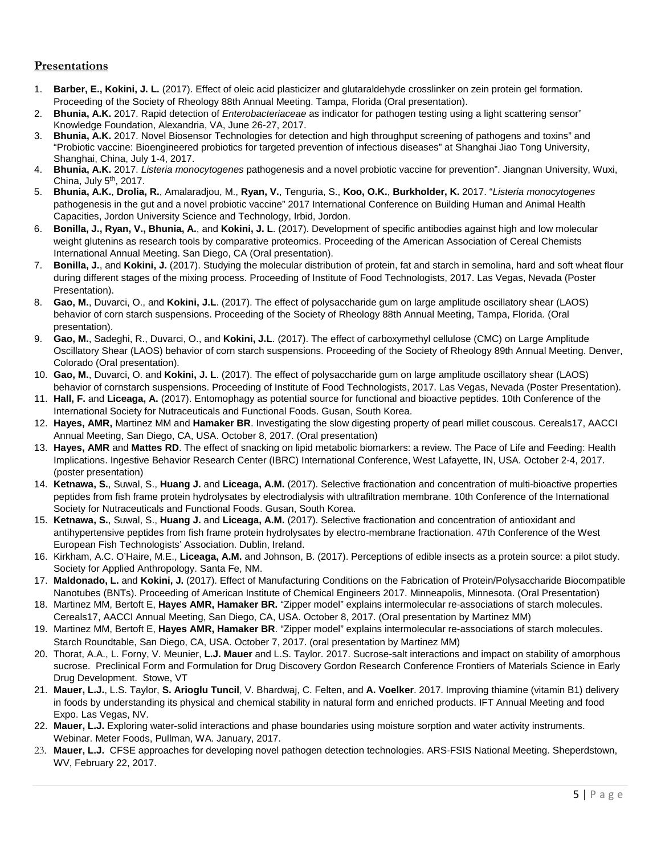# **Presentations**

- 1. **Barber, E., Kokini, J. L.** (2017). Effect of oleic acid plasticizer and glutaraldehyde crosslinker on zein protein gel formation. Proceeding of the Society of Rheology 88th Annual Meeting. Tampa, Florida (Oral presentation).
- 2. **Bhunia, A.K.** 2017. Rapid detection of *Enterobacteriaceae* as indicator for pathogen testing using a light scattering sensor" Knowledge Foundation, Alexandria, VA, June 26-27, 2017.
- 3. **Bhunia, A.K.** 2017. Novel Biosensor Technologies for detection and high throughput screening of pathogens and toxins" and "Probiotic vaccine: Bioengineered probiotics for targeted prevention of infectious diseases" at Shanghai Jiao Tong University, Shanghai, China, July 1-4, 2017.
- 4. **Bhunia, A.K.** 2017. *Listeria monocytogenes* pathogenesis and a novel probiotic vaccine for prevention". Jiangnan University, Wuxi, China, July 5th, 2017.
- 5. **Bhunia, A.K.**, **Drolia, R.**, Amalaradjou, M., **Ryan, V.**, Tenguria, S., **Koo, O.K.**, **Burkholder, K.** 2017. "*Listeria monocytogenes* pathogenesis in the gut and a novel probiotic vaccine" 2017 International Conference on Building Human and Animal Health Capacities, Jordon University Science and Technology, Irbid, Jordon.
- 6. **Bonilla, J., Ryan, V., Bhunia, A.**, and **Kokini, J. L**. (2017). Development of specific antibodies against high and low molecular weight glutenins as research tools by comparative proteomics. Proceeding of the American Association of Cereal Chemists International Annual Meeting. San Diego, CA (Oral presentation).
- 7. **Bonilla, J.**, and **Kokini, J.** (2017). Studying the molecular distribution of protein, fat and starch in semolina, hard and soft wheat flour during different stages of the mixing process. Proceeding of Institute of Food Technologists, 2017. Las Vegas, Nevada (Poster Presentation).
- 8. **Gao, M.**, Duvarci, O., and **Kokini, J.L**. (2017). The effect of polysaccharide gum on large amplitude oscillatory shear (LAOS) behavior of corn starch suspensions. Proceeding of the Society of Rheology 88th Annual Meeting, Tampa, Florida. (Oral presentation).
- 9. **Gao, M.**, Sadeghi, R., Duvarci, O., and **Kokini, J.L**. (2017). The effect of carboxymethyl cellulose (CMC) on Large Amplitude Oscillatory Shear (LAOS) behavior of corn starch suspensions. Proceeding of the Society of Rheology 89th Annual Meeting. Denver, Colorado (Oral presentation).
- 10. **Gao, M.**, Duvarci, O. and **Kokini, J. L**. (2017). The effect of polysaccharide gum on large amplitude oscillatory shear (LAOS) behavior of cornstarch suspensions. Proceeding of Institute of Food Technologists, 2017. Las Vegas, Nevada (Poster Presentation).
- 11. **Hall, F.** and **Liceaga, A.** (2017). Entomophagy as potential source for functional and bioactive peptides. 10th Conference of the International Society for Nutraceuticals and Functional Foods. Gusan, South Korea.
- 12. **Hayes, AMR,** Martinez MM and **Hamaker BR**. Investigating the slow digesting property of pearl millet couscous. Cereals17, AACCI Annual Meeting, San Diego, CA, USA. October 8, 2017. (Oral presentation)
- 13. **Hayes, AMR** and **Mattes RD**. The effect of snacking on lipid metabolic biomarkers: a review. The Pace of Life and Feeding: Health Implications. Ingestive Behavior Research Center (IBRC) International Conference, West Lafayette, IN, USA. October 2-4, 2017. (poster presentation)
- 14. **Ketnawa, S.**, Suwal, S., **Huang J.** and **Liceaga, A.M.** (2017). Selective fractionation and concentration of multi-bioactive properties peptides from fish frame protein hydrolysates by electrodialysis with ultrafiltration membrane. 10th Conference of the International Society for Nutraceuticals and Functional Foods. Gusan, South Korea.
- 15. **Ketnawa, S.**, Suwal, S., **Huang J.** and **Liceaga, A.M.** (2017). Selective fractionation and concentration of antioxidant and antihypertensive peptides from fish frame protein hydrolysates by electro-membrane fractionation. 47th Conference of the West European Fish Technologists' Association. Dublin, Ireland.
- 16. Kirkham, A.C. O'Haire, M.E., **Liceaga, A.M.** and Johnson, B. (2017). Perceptions of edible insects as a protein source: a pilot study. Society for Applied Anthropology. Santa Fe, NM.
- 17. **Maldonado, L.** and **Kokini, J.** (2017). Effect of Manufacturing Conditions on the Fabrication of Protein/Polysaccharide Biocompatible Nanotubes (BNTs). Proceeding of American Institute of Chemical Engineers 2017. Minneapolis, Minnesota. (Oral Presentation)
- 18. Martinez MM, Bertoft E, **Hayes AMR, Hamaker BR.** "Zipper model" explains intermolecular re-associations of starch molecules. Cereals17, AACCI Annual Meeting, San Diego, CA, USA. October 8, 2017. (Oral presentation by Martinez MM)
- 19. Martinez MM, Bertoft E, **Hayes AMR, Hamaker BR**. "Zipper model" explains intermolecular re-associations of starch molecules. Starch Roundtable, San Diego, CA, USA. October 7, 2017. (oral presentation by Martinez MM)
- 20. Thorat, A.A., L. Forny, V. Meunier, **L.J. Mauer** and L.S. Taylor. 2017. Sucrose-salt interactions and impact on stability of amorphous sucrose. Preclinical Form and Formulation for Drug Discovery Gordon Research Conference Frontiers of Materials Science in Early Drug Development. Stowe, VT
- 21. **Mauer, L.J.**, L.S. Taylor, **S. Arioglu Tuncil**, V. Bhardwaj, C. Felten, and **A. Voelker**. 2017. Improving thiamine (vitamin B1) delivery in foods by understanding its physical and chemical stability in natural form and enriched products. IFT Annual Meeting and food Expo. Las Vegas, NV.
- 22. **Mauer, L.J.** Exploring water-solid interactions and phase boundaries using moisture sorption and water activity instruments. Webinar. Meter Foods, Pullman, WA. January, 2017.
- 23. **Mauer, L.J.** CFSE approaches for developing novel pathogen detection technologies. ARS-FSIS National Meeting. Sheperdstown, WV, February 22, 2017.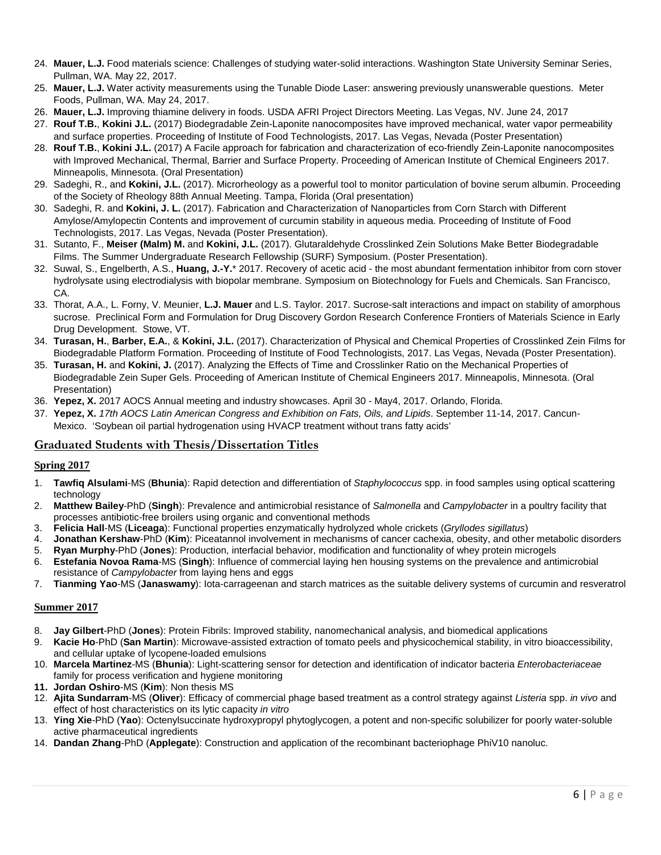- 24. **Mauer, L.J.** Food materials science: Challenges of studying water-solid interactions. Washington State University Seminar Series, Pullman, WA. May 22, 2017.
- 25. **Mauer, L.J.** Water activity measurements using the Tunable Diode Laser: answering previously unanswerable questions. Meter Foods, Pullman, WA. May 24, 2017.
- 26. **Mauer, L.J.** Improving thiamine delivery in foods. USDA AFRI Project Directors Meeting. Las Vegas, NV. June 24, 2017
- 27. **Rouf T.B.**, **Kokini J.L.** (2017) Biodegradable Zein-Laponite nanocomposites have improved mechanical, water vapor permeability and surface properties. Proceeding of Institute of Food Technologists, 2017. Las Vegas, Nevada (Poster Presentation)
- 28. **Rouf T.B.**, **Kokini J.L.** (2017) A Facile approach for fabrication and characterization of eco-friendly Zein-Laponite nanocomposites with Improved Mechanical, Thermal, Barrier and Surface Property. Proceeding of American Institute of Chemical Engineers 2017. Minneapolis, Minnesota. (Oral Presentation)
- 29. Sadeghi, R., and **Kokini, J.L.** (2017). Microrheology as a powerful tool to monitor particulation of bovine serum albumin. Proceeding of the Society of Rheology 88th Annual Meeting. Tampa, Florida (Oral presentation)
- 30. Sadeghi, R. and **Kokini, J. L.** (2017). Fabrication and Characterization of Nanoparticles from Corn Starch with Different Amylose/Amylopectin Contents and improvement of curcumin stability in aqueous media. Proceeding of Institute of Food Technologists, 2017. Las Vegas, Nevada (Poster Presentation).
- 31. Sutanto, F., **Meiser (Malm) M.** and **Kokini, J.L.** (2017). Glutaraldehyde Crosslinked Zein Solutions Make Better Biodegradable Films. The Summer Undergraduate Research Fellowship (SURF) Symposium. (Poster Presentation).
- 32. Suwal, S., Engelberth, A.S., **Huang, J.-Y.**\* 2017. Recovery of acetic acid the most abundant fermentation inhibitor from corn stover hydrolysate using electrodialysis with biopolar membrane. Symposium on Biotechnology for Fuels and Chemicals. San Francisco, CA.
- 33. Thorat, A.A., L. Forny, V. Meunier, **L.J. Mauer** and L.S. Taylor. 2017. Sucrose-salt interactions and impact on stability of amorphous sucrose. Preclinical Form and Formulation for Drug Discovery Gordon Research Conference Frontiers of Materials Science in Early Drug Development. Stowe, VT.
- 34. **Turasan, H.**, **Barber, E.A.**, & **Kokini, J.L.** (2017). Characterization of Physical and Chemical Properties of Crosslinked Zein Films for Biodegradable Platform Formation. Proceeding of Institute of Food Technologists, 2017. Las Vegas, Nevada (Poster Presentation).
- 35. **Turasan, H.** and **Kokini, J.** (2017). Analyzing the Effects of Time and Crosslinker Ratio on the Mechanical Properties of Biodegradable Zein Super Gels. Proceeding of American Institute of Chemical Engineers 2017. Minneapolis, Minnesota. (Oral Presentation)
- 36. **Yepez, X.** 2017 AOCS Annual meeting and industry showcases. April 30 May4, 2017. Orlando, Florida.
- 37. **Yepez, X.** *17th AOCS Latin American Congress and Exhibition on Fats, Oils, and Lipids*. September 11-14, 2017. Cancun-Mexico. 'Soybean oil partial hydrogenation using HVACP treatment without trans fatty acids'

## **Graduated Students with Thesis/Dissertation Titles**

#### **Spring 2017**

- 1. **Tawfiq Alsulami**-MS (**Bhunia**): Rapid detection and differentiation of *Staphylococcus* spp. in food samples using optical scattering technology
- 2. **Matthew Bailey**-PhD (**Singh**): Prevalence and antimicrobial resistance of *Salmonella* and *Campylobacter* in a poultry facility that processes antibiotic-free broilers using organic and conventional methods
- 
- 3. **Felicia Hall**-MS (**Liceaga**): Functional properties enzymatically hydrolyzed whole crickets (*Gryllodes sigillatus*) 4. **Jonathan Kershaw**-PhD (**Kim**): Piceatannol involvement in mechanisms of cancer cachexia, obesity, and other metabolic disorders
- 5. **Ryan Murphy**-PhD (**Jones**): Production, interfacial behavior, modification and functionality of whey protein microgels
- 6. **Estefania Novoa Rama**-MS (**Singh**): Influence of commercial laying hen housing systems on the prevalence and antimicrobial resistance of *Campylobacter* from laying hens and eggs
- 7. **Tianming Yao**-MS (**Janaswamy**): Iota-carrageenan and starch matrices as the suitable delivery systems of curcumin and resveratrol

#### **Summer 2017**

- 8. **Jay Gilbert**-PhD (**Jones**): Protein Fibrils: Improved stability, nanomechanical analysis, and biomedical applications
- 9. **Kacie Ho**-PhD (**San Martin**): Microwave-assisted extraction of tomato peels and physicochemical stability, in vitro bioaccessibility, and cellular uptake of lycopene-loaded emulsions
- 10. **Marcela Martinez**-MS (**Bhunia**): Light-scattering sensor for detection and identification of indicator bacteria *Enterobacteriaceae* family for process verification and hygiene monitoring
- **11. Jordan Oshiro**-MS (**Kim**): Non thesis MS
- 12. **Ajita Sundarram**-MS (**Oliver**): Efficacy of commercial phage based treatment as a control strategy against *Listeria* spp. *in vivo* and effect of host characteristics on its lytic capacity *in vitro*
- 13. **Ying Xie**-PhD (**Yao**): Octenylsuccinate hydroxypropyl phytoglycogen, a potent and non-specific solubilizer for poorly water-soluble active pharmaceutical ingredients
- 14. **Dandan Zhang**-PhD (**Applegate**): Construction and application of the recombinant bacteriophage PhiV10 nanoluc.